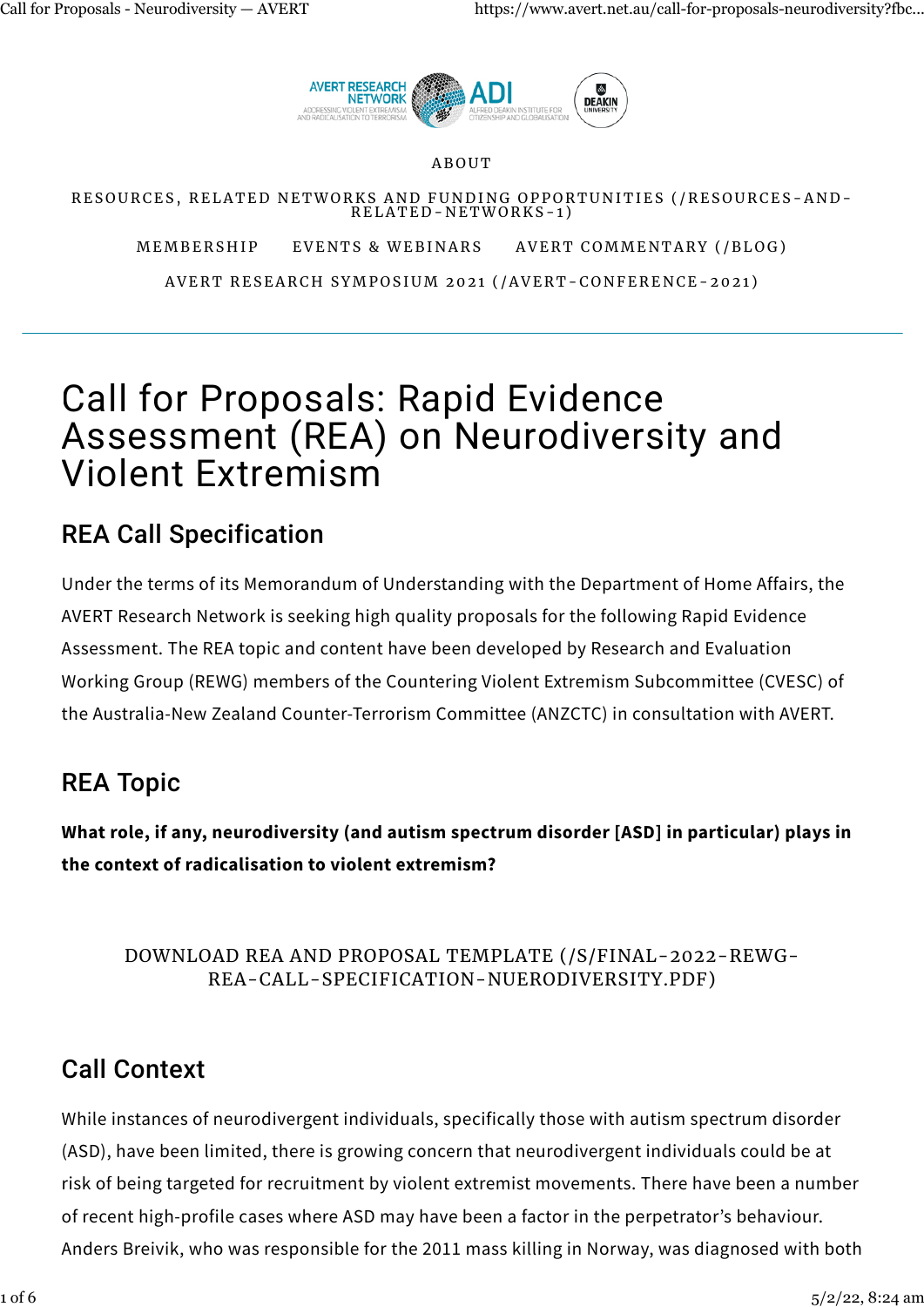

#### ABOUT

[RESOURCES, RELATED NETWORKS AND FUNDING OPPORTUNITIES \(](https://www.avert.net.au/resources-and-related-networks-1) [/RESOURCES-AND-](https://www.avert.net.au/resources-and-related-networks-1)[RELATED-NETWORKS-1](https://www.avert.net.au/resources-and-related-networks-1) [\)](https://www.avert.net.au/resources-and-related-networks-1)

[AVERT COMMENTARY \(](https://www.avert.net.au/blog)[/BLOG](https://www.avert.net.au/blog)[\)](https://www.avert.net.au/blog) MEMBERSHIP EVENTS & WEBINARS

[AVERT RESEARCH SYMPOSIUM 2021 \(](https://www.avert.net.au/avert-conference-2021) [/AVERT-CONFERENCE-2021](https://www.avert.net.au/avert-conference-2021) [\)](https://www.avert.net.au/avert-conference-2021)

# Call for Proposals: Rapid Evidence Assessment (REA) on Neurodiversity and Violent Extremism

# REA Call Specification

Under the terms of its Memorandum of Understanding with the Department of Home Affairs, the AVERT Research Network is seeking high quality proposals for the following Rapid Evidence Assessment. The REA topic and content have been developed by Research and Evaluation Working Group (REWG) members of the Countering Violent Extremism Subcommittee (CVESC) of the Australia-New Zealand Counter-Terrorism Committee (ANZCTC) in consultation with AVERT.

# REA Topic

**What role, if any, neurodiversity (and autism spectrum disorder [ASD] in particular) plays in the context of radicalisation to violent extremism?**

#### [DOWNLOAD REA AND PROPOSAL TEMPLATE \(/S/FINAL-2022-REWG-](https://www.avert.net.au/s/FINAL-2022-REWG-REA-Call-Specification-Nuerodiversity.pdf)[REA-CALL-SPECIFICATION-NUERODIVERSITY.PDF\)](https://www.avert.net.au/s/FINAL-2022-REWG-REA-Call-Specification-Nuerodiversity.pdf)

# Call Context

While instances of neurodivergent individuals, specifically those with autism spectrum disorder (ASD), have been limited, there is growing concern that neurodivergent individuals could be at risk of being targeted for recruitment by violent extremist movements. There have been a number of recent high-profile cases where ASD may have been a factor in the perpetrator's behaviour. Anders Breivik, who was responsible for the 2011 mass killing in Norway, was diagnosed with both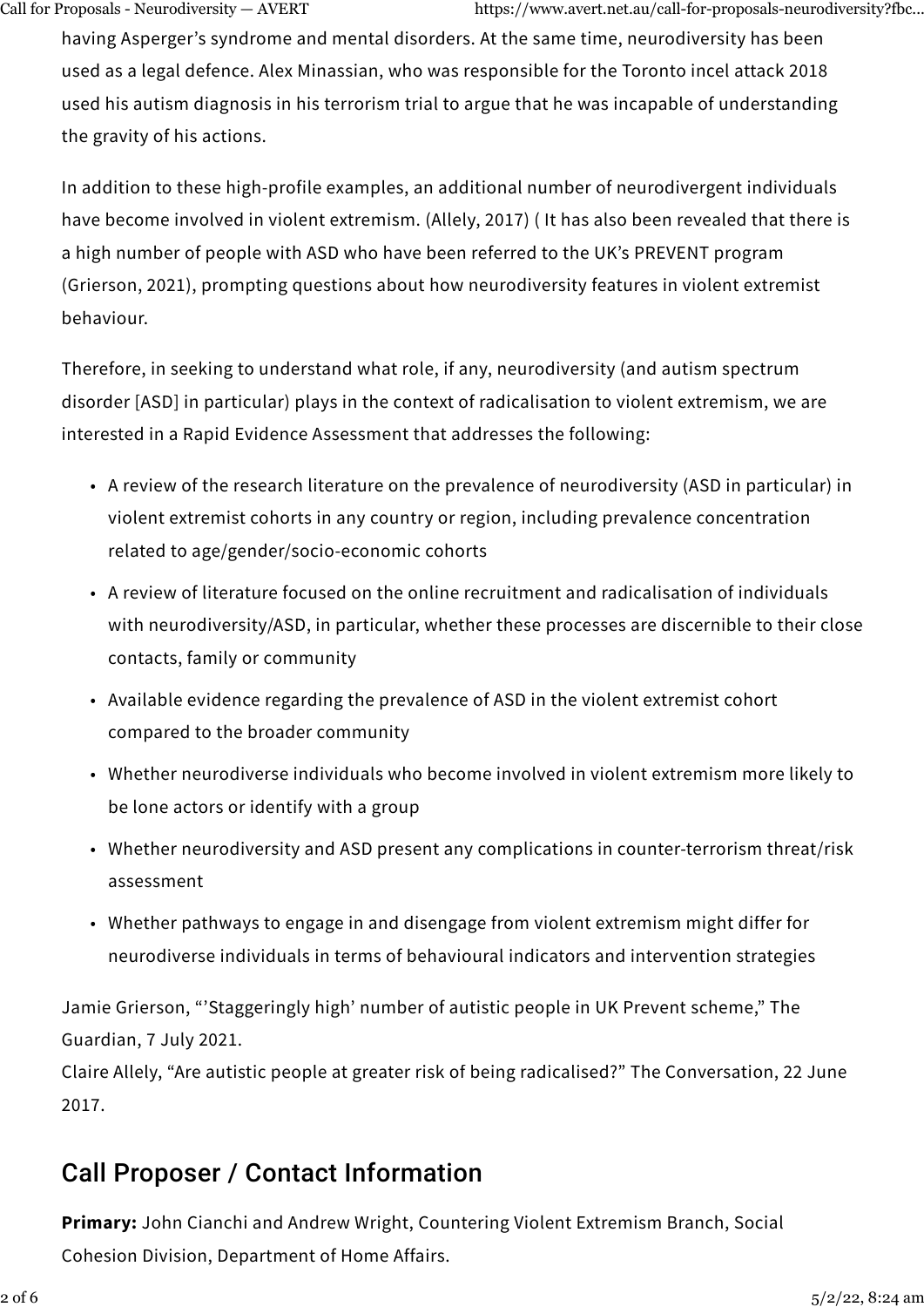having Asperger's syndrome and mental disorders. At the same time, neurodiversity has been used as a legal defence. Alex Minassian, who was responsible for the Toronto incel attack 2018 used his autism diagnosis in his terrorism trial to argue that he was incapable of understanding the gravity of his actions.

In addition to these high-profile examples, an additional number of neurodivergent individuals have become involved in violent extremism. (Allely, 2017) ( It has also been revealed that there is a high number of people with ASD who have been referred to the UK's PREVENT program (Grierson, 2021), prompting questions about how neurodiversity features in violent extremist behaviour.

Therefore, in seeking to understand what role, if any, neurodiversity (and autism spectrum disorder [ASD] in particular) plays in the context of radicalisation to violent extremism, we are interested in a Rapid Evidence Assessment that addresses the following:

- A review of the research literature on the prevalence of neurodiversity (ASD in particular) in violent extremist cohorts in any country or region, including prevalence concentration related to age/gender/socio-economic cohorts
- A review of literature focused on the online recruitment and radicalisation of individuals with neurodiversity/ASD, in particular, whether these processes are discernible to their close contacts, family or community
- Available evidence regarding the prevalence of ASD in the violent extremist cohort compared to the broader community
- Whether neurodiverse individuals who become involved in violent extremism more likely to be lone actors or identify with a group
- Whether neurodiversity and ASD present any complications in counter-terrorism threat/risk assessment
- Whether pathways to engage in and disengage from violent extremism might differ for neurodiverse individuals in terms of behavioural indicators and intervention strategies

Jamie Grierson, "'Staggeringly high' number of autistic people in UK Prevent scheme," The Guardian, 7 July 2021.

Claire Allely, "Are autistic people at greater risk of being radicalised?" The Conversation, 22 June 2017.

### Call Proposer / Contact Information

**Primary:** John Cianchi and Andrew Wright, Countering Violent Extremism Branch, Social Cohesion Division, Department of Home Affairs.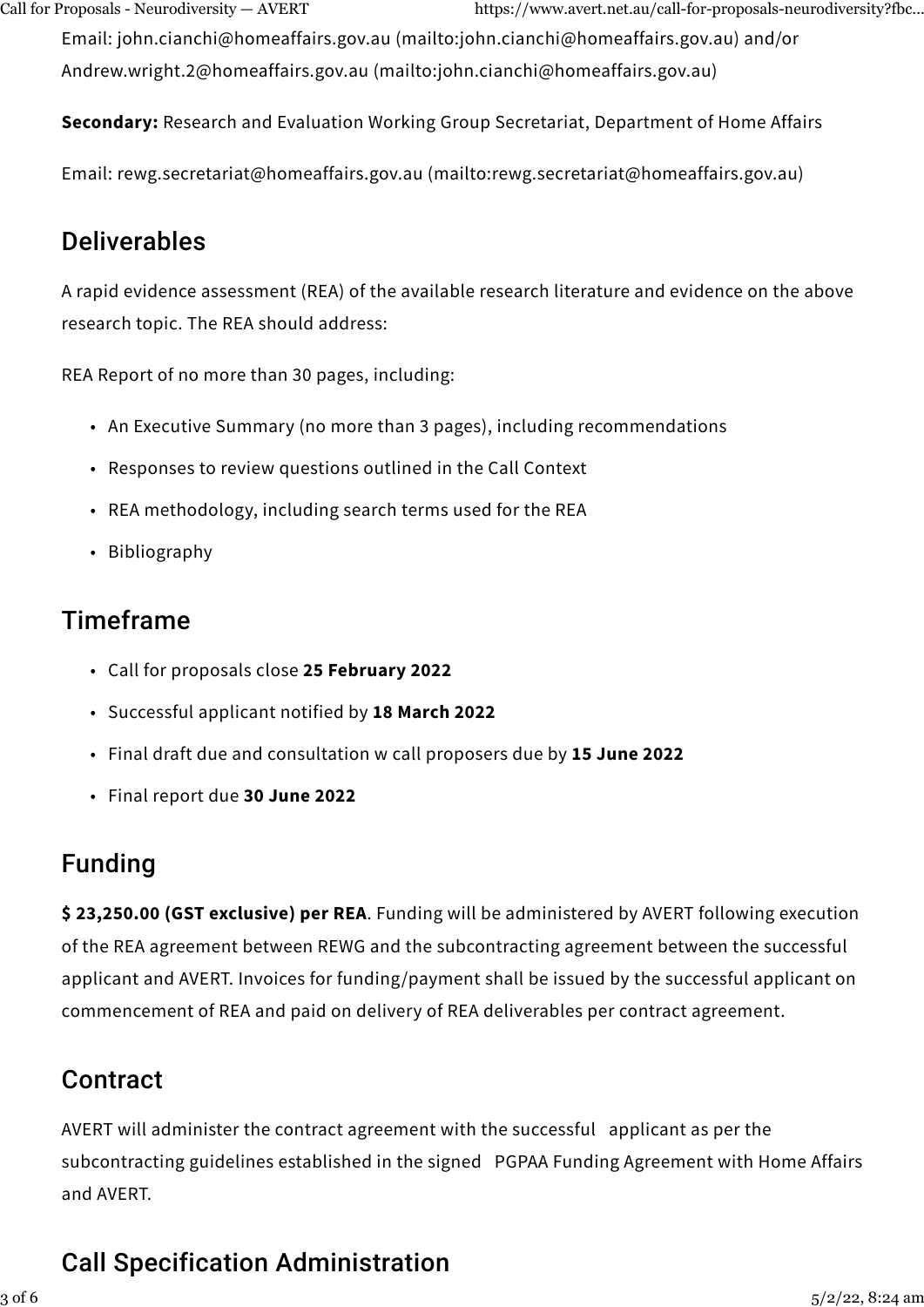Email: [john.cianchi@homeaffairs.gov.au \(mailto:john.cianchi@homeaffairs.gov.au\)](mailto:john.cianchi@homeaffairs.gov.au) and/or [Andrew.wright.2@homeaffairs.gov.au \(mailto:john.cianchi@homeaffairs.gov.au\)](mailto:john.cianchi@homeaffairs.gov.au)

**Secondary:** Research and Evaluation Working Group Secretariat, Department of Home Affairs

Email: [rewg.secretariat@homeaffairs.gov.au \(mailto:rewg.secretariat@homeaffairs.gov.au\)](mailto:rewg.secretariat@homeaffairs.gov.au)

# Deliverables

A rapid evidence assessment (REA) of the available research literature and evidence on the above research topic. The REA should address:

REA Report of no more than 30 pages, including:

- An Executive Summary (no more than 3 pages), including recommendations
- Responses to review questions outlined in the Call Context
- REA methodology, including search terms used for the REA
- Bibliography

### Timeframe

- Call for proposals close **25 February 2022**
- Successful applicant notified by **18 March 2022**
- Final draft due and consultation w call proposers due by **15 June 2022**
- Final report due **30 June 2022**

#### Funding

**\$ 23,250.00 (GST exclusive) per REA**. Funding will be administered by AVERT following execution of the REA agreement between REWG and the subcontracting agreement between the successful applicant and AVERT. Invoices for funding/payment shall be issued by the successful applicant on commencement of REA and paid on delivery of REA deliverables per contract agreement.

#### **Contract**

AVERT will administer the contract agreement with the successful applicant as per the subcontracting guidelines established in the signed PGPAA Funding Agreement with Home Affairs and AVERT.

### Call Specification Administration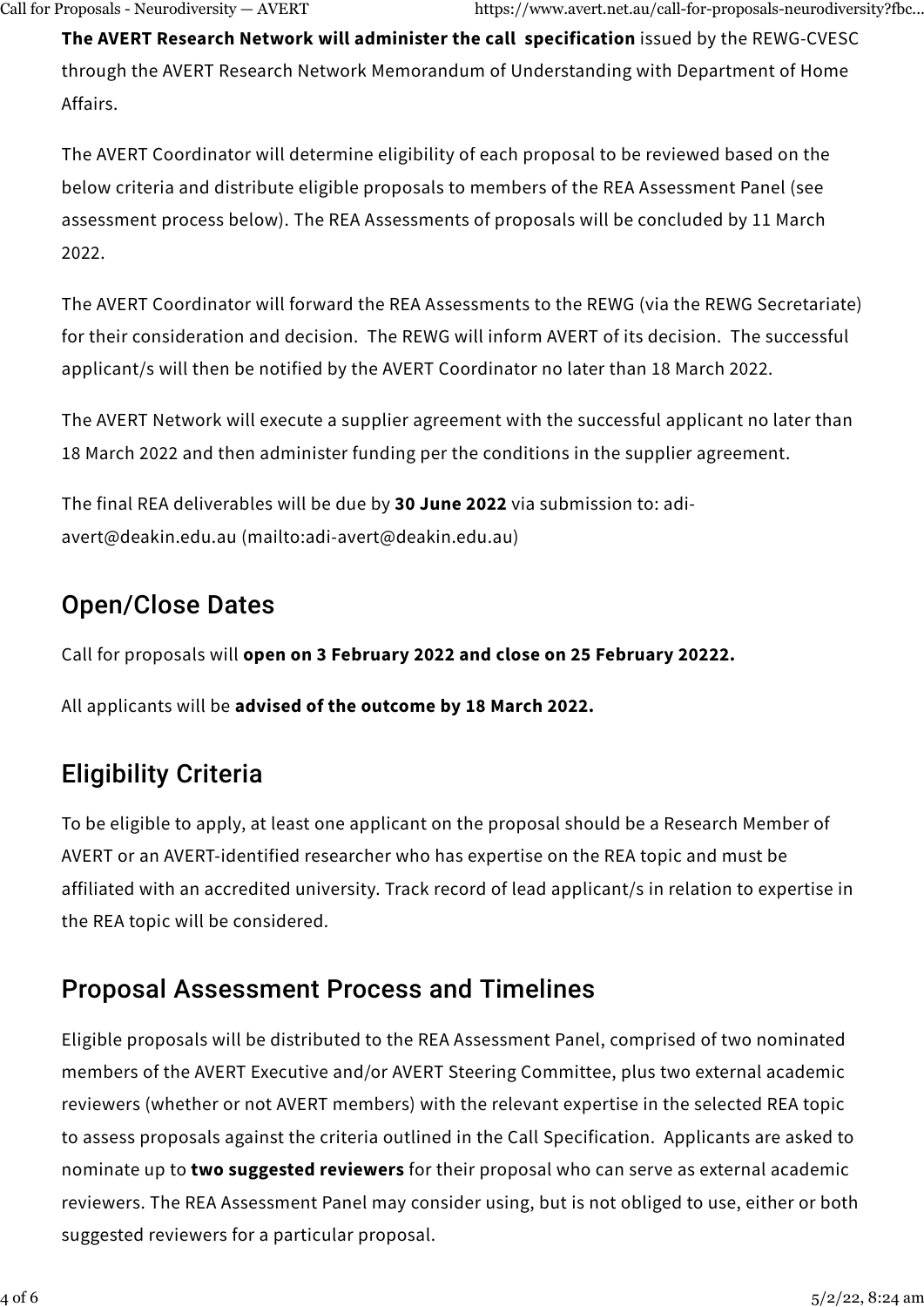**The AVERT Research Network will administer the call specification** issued by the REWG-CVESC through the AVERT Research Network Memorandum of Understanding with Department of Home Affairs.

The AVERT Coordinator will determine eligibility of each proposal to be reviewed based on the below criteria and distribute eligible proposals to members of the REA Assessment Panel (see assessment process below). The REA Assessments of proposals will be concluded by 11 March 2022.

The AVERT Coordinator will forward the REA Assessments to the REWG (via the REWG Secretariate) for their consideration and decision. The REWG will inform AVERT of its decision. The successful applicant/s will then be notified by the AVERT Coordinator no later than 18 March 2022.

The AVERT Network will execute a supplier agreement with the successful applicant no later than 18 March 2022 and then administer funding per the conditions in the supplier agreement.

The final REA deliverables will be due by **30 June 2022** via submission to: [adi](mailto:adi-avert@deakin.edu.au)[avert@deakin.edu.au \(mailto:adi-avert@deakin.edu.au\)](mailto:adi-avert@deakin.edu.au)

# Open/Close Dates

Call for proposals will **open on 3 February 2022 and close on 25 February 20222.**

All applicants will be **advised of the outcome by 18 March 2022.**

# Eligibility Criteria

To be eligible to apply, at least one applicant on the proposal should be a Research Member of AVERT or an AVERT-identified researcher who has expertise on the REA topic and must be affiliated with an accredited university. Track record of lead applicant/s in relation to expertise in the REA topic will be considered.

# Proposal Assessment Process and Timelines

Eligible proposals will be distributed to the REA Assessment Panel, comprised of two nominated members of the AVERT Executive and/or AVERT Steering Committee, plus two external academic reviewers (whether or not AVERT members) with the relevant expertise in the selected REA topic to assess proposals against the criteria outlined in the Call Specification. Applicants are asked to nominate up to **two suggested reviewers** for their proposal who can serve as external academic reviewers. The REA Assessment Panel may consider using, but is not obliged to use, either or both suggested reviewers for a particular proposal.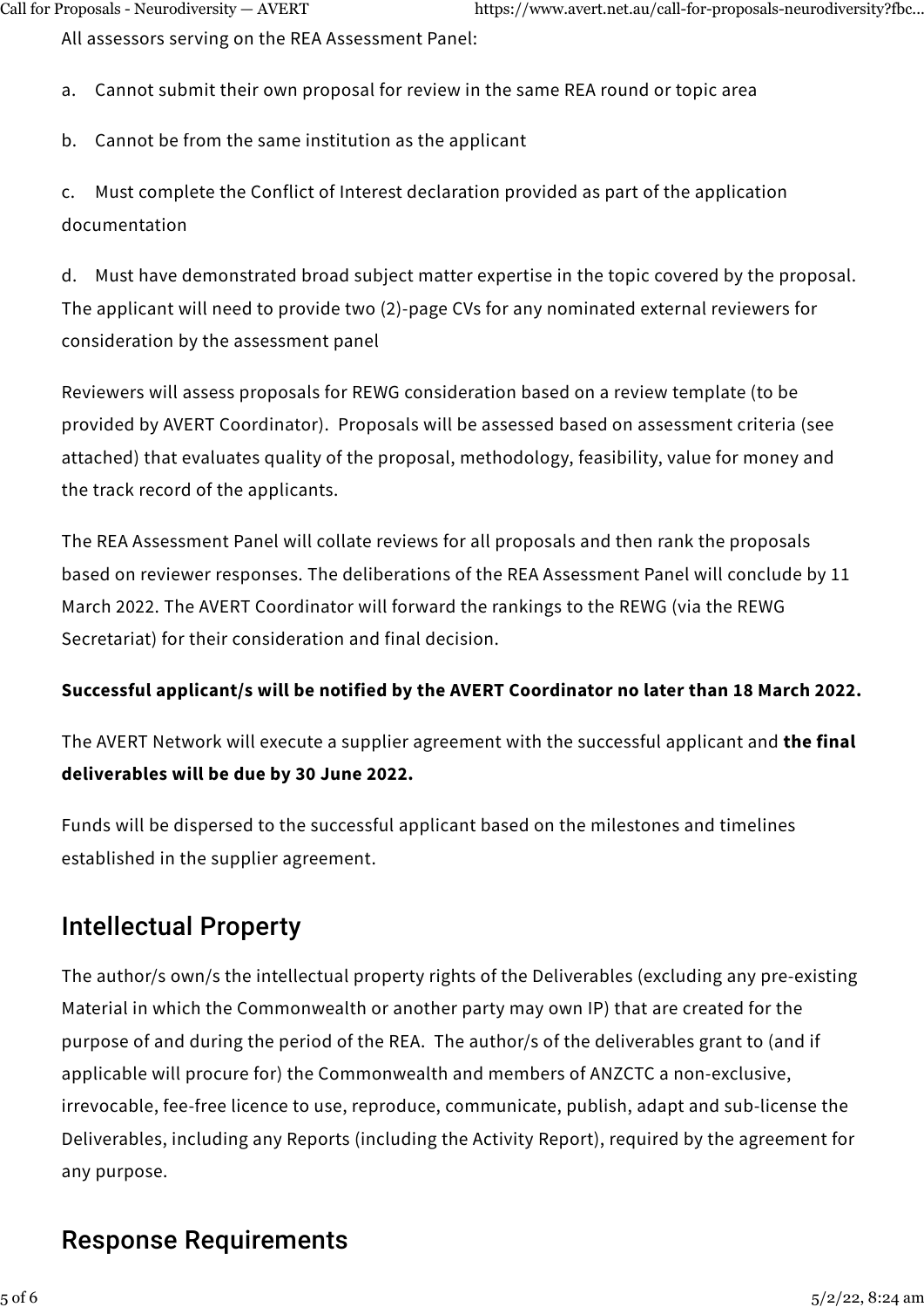All assessors serving on the REA Assessment Panel:

a. Cannot submit their own proposal for review in the same REA round or topic area

b. Cannot be from the same institution as the applicant

c. Must complete the Conflict of Interest declaration provided as part of the application documentation

d. Must have demonstrated broad subject matter expertise in the topic covered by the proposal. The applicant will need to provide two (2)-page CVs for any nominated external reviewers for consideration by the assessment panel

Reviewers will assess proposals for REWG consideration based on a review template (to be provided by AVERT Coordinator). Proposals will be assessed based on assessment criteria (see attached) that evaluates quality of the proposal, methodology, feasibility, value for money and the track record of the applicants.

The REA Assessment Panel will collate reviews for all proposals and then rank the proposals based on reviewer responses. The deliberations of the REA Assessment Panel will conclude by 11 March 2022. The AVERT Coordinator will forward the rankings to the REWG (via the REWG Secretariat) for their consideration and final decision.

#### **Successful applicant/s will be notified by the AVERT Coordinator no later than 18 March 2022.**

The AVERT Network will execute a supplier agreement with the successful applicant and **the final deliverables will be due by 30 June 2022.**

Funds will be dispersed to the successful applicant based on the milestones and timelines established in the supplier agreement.

# Intellectual Property

The author/s own/s the intellectual property rights of the Deliverables (excluding any pre-existing Material in which the Commonwealth or another party may own IP) that are created for the purpose of and during the period of the REA. The author/s of the deliverables grant to (and if applicable will procure for) the Commonwealth and members of ANZCTC a non-exclusive, irrevocable, fee-free licence to use, reproduce, communicate, publish, adapt and sub-license the Deliverables, including any Reports (including the Activity Report), required by the agreement for any purpose.

### Response Requirements